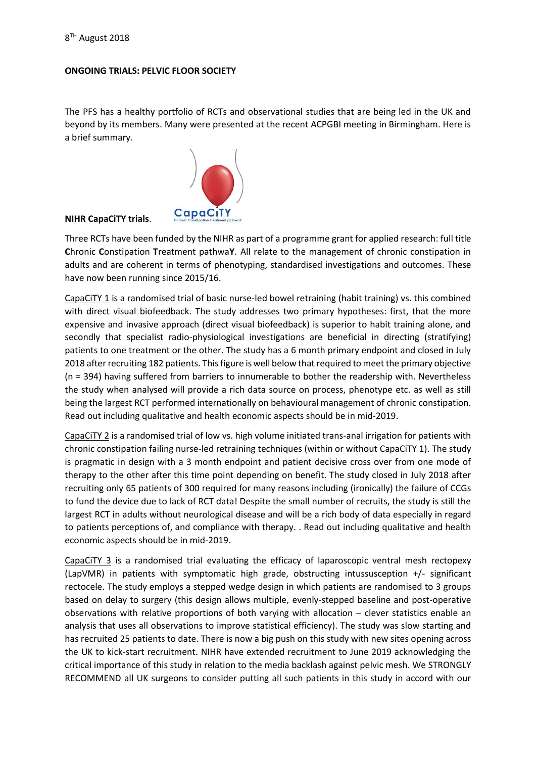## **ONGOING TRIALS: PELVIC FLOOR SOCIETY**

The PFS has a healthy portfolio of RCTs and observational studies that are being led in the UK and beyond by its members. Many were presented at the recent ACPGBI meeting in Birmingham. Here is a brief summary.



## **NIHR CapaCiTY trials**.

Three RCTs have been funded by the NIHR as part of a programme grant for applied research: full title **C**hronic **C**onstipation **T**reatment pathwa**Y**. All relate to the management of chronic constipation in adults and are coherent in terms of phenotyping, standardised investigations and outcomes. These have now been running since 2015/16.

CapaCiTY 1 is a randomised trial of basic nurse-led bowel retraining (habit training) vs. this combined with direct visual biofeedback. The study addresses two primary hypotheses: first, that the more expensive and invasive approach (direct visual biofeedback) is superior to habit training alone, and secondly that specialist radio-physiological investigations are beneficial in directing (stratifying) patients to one treatment or the other. The study has a 6 month primary endpoint and closed in July 2018 after recruiting 182 patients. This figure is well below that required to meet the primary objective (n = 394) having suffered from barriers to innumerable to bother the readership with. Nevertheless the study when analysed will provide a rich data source on process, phenotype etc. as well as still being the largest RCT performed internationally on behavioural management of chronic constipation. Read out including qualitative and health economic aspects should be in mid-2019.

CapaCiTY 2 is a randomised trial of low vs. high volume initiated trans-anal irrigation for patients with chronic constipation failing nurse-led retraining techniques (within or without CapaCiTY 1). The study is pragmatic in design with a 3 month endpoint and patient decisive cross over from one mode of therapy to the other after this time point depending on benefit. The study closed in July 2018 after recruiting only 65 patients of 300 required for many reasons including (ironically) the failure of CCGs to fund the device due to lack of RCT data! Despite the small number of recruits, the study is still the largest RCT in adults without neurological disease and will be a rich body of data especially in regard to patients perceptions of, and compliance with therapy. . Read out including qualitative and health economic aspects should be in mid-2019.

CapaCiTY 3 is a randomised trial evaluating the efficacy of laparoscopic ventral mesh rectopexy (LapVMR) in patients with symptomatic high grade, obstructing intussusception +/- significant rectocele. The study employs a stepped wedge design in which patients are randomised to 3 groups based on delay to surgery (this design allows multiple, evenly-stepped baseline and post-operative observations with relative proportions of both varying with allocation – clever statistics enable an analysis that uses all observations to improve statistical efficiency). The study was slow starting and has recruited 25 patients to date. There is now a big push on this study with new sites opening across the UK to kick-start recruitment. NIHR have extended recruitment to June 2019 acknowledging the critical importance of this study in relation to the media backlash against pelvic mesh. We STRONGLY RECOMMEND all UK surgeons to consider putting all such patients in this study in accord with our